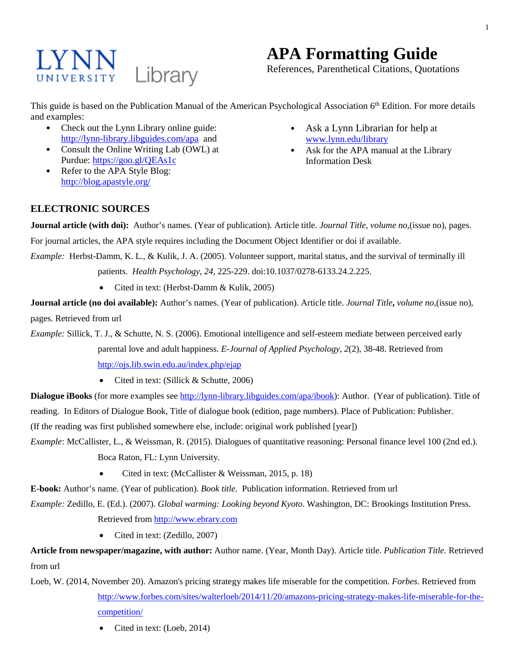# LYNN Library

# **APA Formatting Guide**

References, Parenthetical Citations, Quotations

This guide is based on the Publication Manual of the American Psychological Association 6<sup>th</sup> Edition. For more details and examples:

- Check out the Lynn Library online guide: <http://lynn-library.libguides.com/apa> and
- Consult the Online Writing Lab (OWL) at Purdue:<https://goo.gl/QEAs1c>
- Refer to the APA Style Blog: <http://blog.apastyle.org/>
- Ask a Lynn Librarian for help at [www.lynn.edu/library](http://www.lynn.edu/library)
- Ask for the APA manual at the Library Information Desk

# **ELECTRONIC SOURCES**

**Journal article (with doi):** Author's names. (Year of publication). Article title. *Journal Title*, *volume no*,(issue no), pages. For journal articles, the APA style requires including the Document Object Identifier or doi if available.

*Example:* Herbst-Damm, K. L., & Kulik, J. A. (2005). Volunteer support, marital status, and the survival of terminally ill patients. *Health Psychology*, *24*, 225-229. doi:10.1037/0278-6133.24.2.225.

• Cited in text: (Herbst-Damm & Kulik, 2005)

**Journal article (no doi available):** Author's names. (Year of publication). Article title. *Journal Title***,** *volume no*,(issue no), pages. Retrieved from url

*Example:* Sillick, T. J., & Schutte, N. S. (2006). Emotional intelligence and self-esteem mediate between perceived early parental love and adult happiness. *E-Journal of Applied Psychology*, *2*(2), 38-48. Retrieved from <http://ojs.lib.swin.edu.au/index.php/ejap>

• Cited in text: (Sillick & Schutte, 2006)

**Dialogue iBooks** (for more examples see [http://lynn-library.libguides.com/apa/ibook\)](http://lynn-library.libguides.com/apa/ibook): Author. (Year of publication). Title of reading. In Editors of Dialogue Book, Title of dialogue book (edition, page numbers). Place of Publication: Publisher.

(If the reading was first published somewhere else, include: original work published [year])

*Example*: McCallister, L., & Weissman, R. (2015). Dialogues of quantitative reasoning: Personal finance level 100 (2nd ed.). Boca Raton, FL: Lynn University.

• Cited in text: (McCallister & Weissman, 2015, p. 18)

**E-book:** Author's name. (Year of publication). *Book title.* Publication information. Retrieved from url

*Example:* Zedillo, E. (Ed.). (2007). *Global warming: Looking beyond Kyoto*. Washington, DC: Brookings Institution Press. Retrieved fro[m http://www.ebrary.com](http://www.ebrary.com/)

• Cited in text: (Zedillo, 2007)

**Article from newspaper/magazine, with author:** Author name. (Year, Month Day). Article title. *Publication Title.* Retrieved from url

Loeb, W. (2014, November 20). Amazon's pricing strategy makes life miserable for the competition. *Forbes*. Retrieved from [http://www.forbes.com/sites/walterloeb/2014/11/20/amazons-pricing-strategy-makes-life-miserable-for-the](http://www.forbes.com/sites/walterloeb/2014/11/20/amazons-pricing-strategy-makes-life-miserable-for-the-competition/)[competition/](http://www.forbes.com/sites/walterloeb/2014/11/20/amazons-pricing-strategy-makes-life-miserable-for-the-competition/)

• Cited in text: (Loeb, 2014)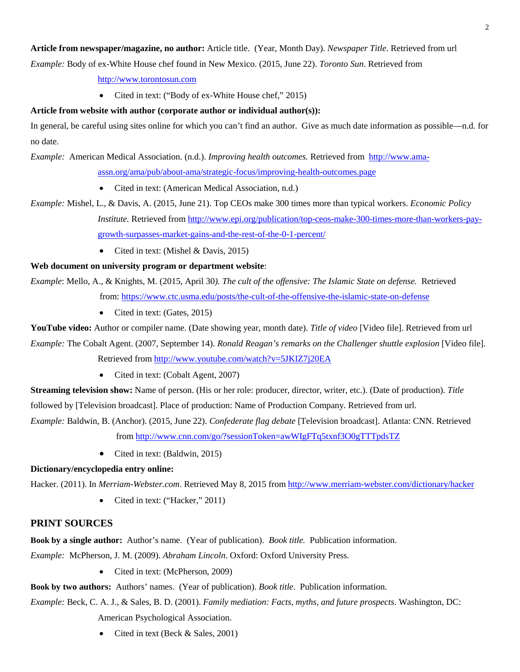# **Article from newspaper/magazine, no author:** Article title. (Year, Month Day). *Newspaper Title*. Retrieved from url

*Example:* Body of ex-White House chef found in New Mexico. (2015, June 22). *Toronto Sun*. Retrieved from

[http://www.torontosun.com](http://www.torontosun.com/)

• Cited in text: ("Body of ex-White House chef," 2015)

## **Article from website with author (corporate author or individual author(s)):**

In general, be careful using sites online for which you can't find an author. Give as much date information as possible—n.d. for no date.

*Example:* American Medical Association. (n.d.). *Improving health outcomes.* Retrieved from [http://www.ama](http://www.ama-assn.org/ama/pub/about-ama/strategic-focus/improving-health-outcomes.page)[assn.org/ama/pub/about-ama/strategic-focus/improving-health-outcomes.page](http://www.ama-assn.org/ama/pub/about-ama/strategic-focus/improving-health-outcomes.page)

- Cited in text: (American Medical Association, n.d.)
- *Example:* Mishel, L., & Davis, A. (2015, June 21). Top CEOs make 300 times more than typical workers. *Economic Policy Institute.* Retrieved from [http://www.epi.org/publication/top-ceos-make-300-times-more-than-workers-pay](http://www.epi.org/publication/top-ceos-make-300-times-more-than-workers-pay-growth-surpasses-market-gains-and-the-rest-of-the-0-1-percent/)[growth-surpasses-market-gains-and-the-rest-of-the-0-1-percent/](http://www.epi.org/publication/top-ceos-make-300-times-more-than-workers-pay-growth-surpasses-market-gains-and-the-rest-of-the-0-1-percent/)
	- Cited in text: (Mishel & Davis, 2015)

## **Web document on university program or department website**:

*Example*: Mello, A., & Knights, M. (2015, April 30*). The cult of the offensive: The Islamic State on defense.* Retrieved from: <https://www.ctc.usma.edu/posts/the-cult-of-the-offensive-the-islamic-state-on-defense>

• Cited in text: (Gates, 2015)

**YouTube video:** Author or compiler name. (Date showing year, month date). *Title of video* [Video file]. Retrieved from url

*Example:* The Cobalt Agent. (2007, September 14). *Ronald Reagan's remarks on the Challenger shuttle explosion* [Video file]. Retrieved fro[m http://www.youtube.com/watch?v=5JKIZ7j20EA](http://www.youtube.com/watch?v=5JKIZ7j20EA)

• Cited in text: (Cobalt Agent, 2007)

**Streaming television show:** Name of person. (His or her role: producer, director, writer, etc.). (Date of production). *Title* followed by [Television broadcast]. Place of production: Name of Production Company. Retrieved from url.

*Example:* Baldwin, B. (Anchor). (2015, June 22). *Confederate flag debate* [Television broadcast]. Atlanta: CNN. Retrieved from<http://www.cnn.com/go/?sessionToken=awWIgFTq5txnf3O0gTTTpdsTZ>

• Cited in text: (Baldwin, 2015)

## **Dictionary/encyclopedia entry online:**

Hacker. (2011). In *Merriam-Webster.com*. Retrieved May 8, 2015 from<http://www.merriam-webster.com/dictionary/hacker>

• Cited in text: ("Hacker," 2011)

# **PRINT SOURCES**

**Book by a single author:** Author's name. (Year of publication). *Book title.* Publication information.

*Example:* McPherson, J. M. (2009). *Abraham Lincoln*. Oxford: Oxford University Press.

• Cited in text: (McPherson, 2009)

**Book by two authors:** Authors' names. (Year of publication). *Book title*. Publication information.

*Example:* Beck, C. A. J., & Sales, B. D. (2001). *Family mediation: Facts, myths, and future prospects*. Washington, DC: American Psychological Association.

• Cited in text (Beck & Sales, 2001)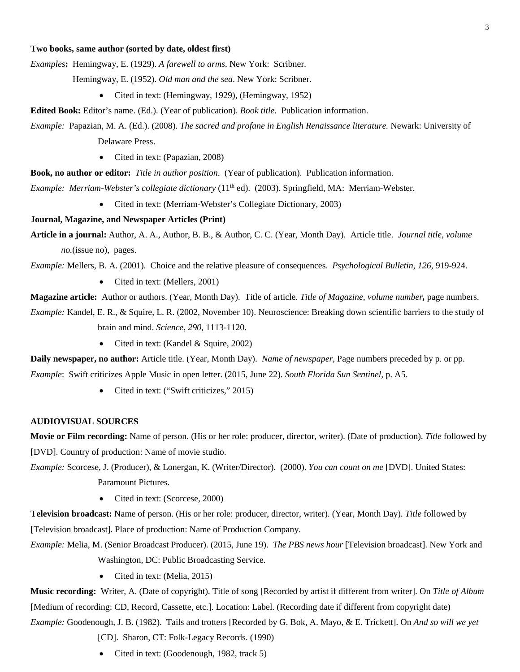#### **Two books, same author (sorted by date, oldest first)**

*Examples***:** Hemingway, E. (1929). *A farewell to arms*. New York: Scribner.

Hemingway, E. (1952). *Old man and the sea*. New York: Scribner.

• Cited in text: (Hemingway, 1929), (Hemingway, 1952)

**Edited Book:** Editor's name. (Ed.). (Year of publication). *Book title*. Publication information.

*Example:* Papazian, M. A. (Ed.). (2008). *The sacred and profane in English Renaissance literature.* Newark: University of Delaware Press.

• Cited in text: (Papazian, 2008)

**Book, no author or editor:** *Title in author position*. (Year of publication). Publication information.

*Example: Merriam-Webster's collegiate dictionary* (11th ed). (2003). Springfield, MA: Merriam-Webster.

• Cited in text: (Merriam-Webster's Collegiate Dictionary, 2003)

#### **Journal, Magazine, and Newspaper Articles (Print)**

**Article in a journal:** Author, A. A., Author, B. B., & Author, C. C. (Year, Month Day). Article title. *Journal title, volume no.*(issue no)*,* pages.

*Example:* Mellers, B. A. (2001). Choice and the relative pleasure of consequences. *Psychological Bulletin, 126,* 919-924.

• Cited in text: (Mellers, 2001)

**Magazine article:** Author or authors. (Year, Month Day). Title of article. *Title of Magazine*, *volume number,* page numbers.

*Example:* Kandel, E. R., & Squire, L. R. (2002, November 10). Neuroscience: Breaking down scientific barriers to the study of brain and mind. *Science, 290*, 1113-1120.

• Cited in text: (Kandel & Squire, 2002)

**Daily newspaper, no author:** Article title. (Year, Month Day). *Name of newspaper,* Page numbers preceded by p. or pp. *Example*: Swift criticizes Apple Music in open letter. (2015, June 22). *South Florida Sun Sentinel,* p. A5.

• Cited in text: ("Swift criticizes," 2015)

#### **AUDIOVISUAL SOURCES**

**Movie or Film recording:** Name of person. (His or her role: producer, director, writer). (Date of production). *Title* followed by [DVD]. Country of production: Name of movie studio.

*Example:* Scorcese, J. (Producer), & Lonergan, K. (Writer/Director). (2000). *You can count on me* [DVD]. United States: Paramount Pictures.

• Cited in text: (Scorcese, 2000)

**Television broadcast:** Name of person. (His or her role: producer, director, writer). (Year, Month Day). *Title* followed by [Television broadcast]. Place of production: Name of Production Company.

*Example:* Melia, M. (Senior Broadcast Producer). (2015, June 19). *The PBS news hour* [Television broadcast]. New York and Washington, DC: Public Broadcasting Service.

• Cited in text: (Melia, 2015)

**Music recording:** Writer, A. (Date of copyright). Title of song [Recorded by artist if different from writer]. On *Title of Album* [Medium of recording: CD, Record, Cassette, etc.]. Location: Label. (Recording date if different from copyright date) *Example:* Goodenough, J. B. (1982). Tails and trotters [Recorded by G. Bok, A. Mayo, & E. Trickett]. On *And so will we yet*

[CD]. Sharon, CT: Folk-Legacy Records. (1990)

• Cited in text: (Goodenough, 1982, track 5)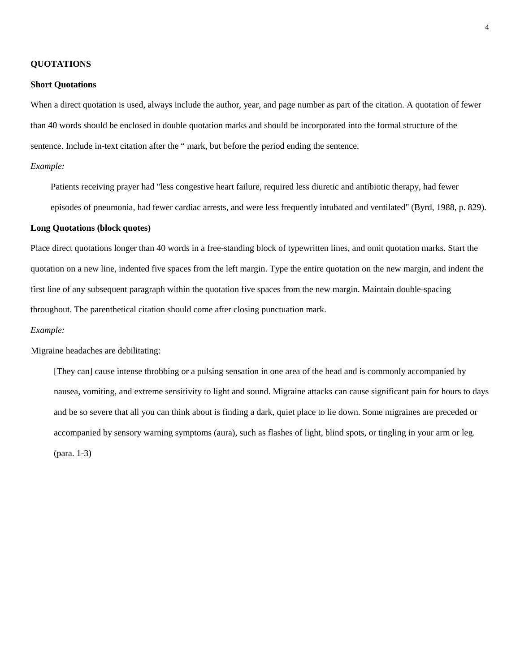#### **QUOTATIONS**

#### **Short Quotations**

When a direct quotation is used, always include the author, year, and page number as part of the citation. A quotation of fewer than 40 words should be enclosed in double quotation marks and should be incorporated into the formal structure of the sentence. Include in-text citation after the " mark, but before the period ending the sentence.

#### *Example:*

Patients receiving prayer had "less congestive heart failure, required less diuretic and antibiotic therapy, had fewer episodes of pneumonia, had fewer cardiac arrests, and were less frequently intubated and ventilated" (Byrd, 1988, p. 829).

#### **Long Quotations (block quotes)**

Place direct quotations longer than 40 words in a free-standing block of typewritten lines, and omit quotation marks. Start the quotation on a new line, indented five spaces from the left margin. Type the entire quotation on the new margin, and indent the first line of any subsequent paragraph within the quotation five spaces from the new margin. Maintain double-spacing throughout. The parenthetical citation should come after closing punctuation mark.

#### *Example:*

Migraine headaches are debilitating:

[They can] cause intense throbbing or a pulsing sensation in one area of the head and is commonly accompanied by nausea, vomiting, and extreme sensitivity to light and sound. Migraine attacks can cause significant pain for hours to days and be so severe that all you can think about is finding a dark, quiet place to lie down. Some migraines are preceded or accompanied by sensory warning symptoms (aura), such as flashes of light, blind spots, or tingling in your arm or leg. (para. 1-3)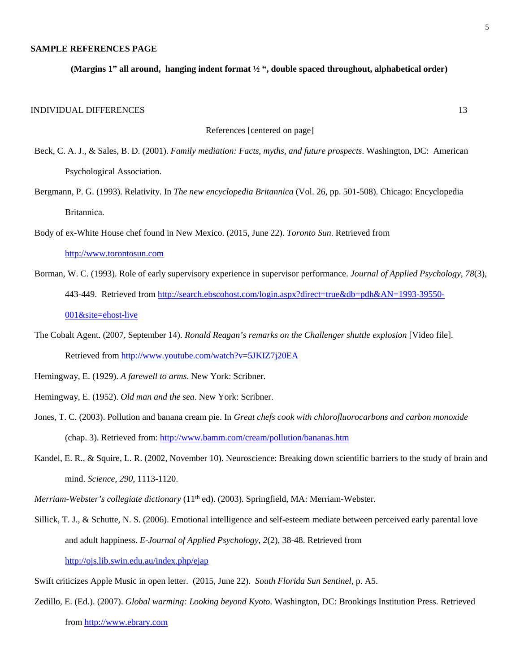#### **SAMPLE REFERENCES PAGE**

**(Margins 1" all around, hanging indent format ½ ", double spaced throughout, alphabetical order)** 

#### INDIVIDUAL DIFFERENCES 13

References [centered on page]

- Beck, C. A. J., & Sales, B. D. (2001). *Family mediation: Facts, myths, and future prospects*. Washington, DC: American Psychological Association.
- Bergmann, P. G. (1993). Relativity. In *The new encyclopedia Britannica* (Vol. 26, pp. 501-508). Chicago: Encyclopedia Britannica.
- Body of ex-White House chef found in New Mexico. (2015, June 22). *Toronto Sun*. Retrieved from

[http://www.torontosun.com](http://www.torontosun.com/)

- Borman, W. C. (1993). Role of early supervisory experience in supervisor performance. *Journal of Applied Psychology, 78*(3), 443-449. Retrieved from [http://search.ebscohost.com/login.aspx?direct=true&db=pdh&AN=1993-39550-](http://search.ebscohost.com/login.aspx?direct=true&db=pdh&AN=1993-39550-001&site=ehost-live) [001&site=ehost-live](http://search.ebscohost.com/login.aspx?direct=true&db=pdh&AN=1993-39550-001&site=ehost-live)
- The Cobalt Agent. (2007, September 14). *Ronald Reagan's remarks on the Challenger shuttle explosion* [Video file]. Retrieved from<http://www.youtube.com/watch?v=5JKIZ7j20EA>

Hemingway, E. (1929). *A farewell to arms*. New York: Scribner.

- Hemingway, E. (1952). *Old man and the sea*. New York: Scribner.
- Jones, T. C. (2003). Pollution and banana cream pie. In *Great chefs cook with chlorofluorocarbons and carbon monoxide* (chap. 3). Retrieved from:<http://www.bamm.com/cream/pollution/bananas.htm>
- Kandel, E. R., & Squire, L. R. (2002, November 10). Neuroscience: Breaking down scientific barriers to the study of brain and mind. *Science, 290*, 1113-1120.

*Merriam-Webster's collegiate dictionary* (11<sup>th</sup> ed). (2003). Springfield, MA: Merriam-Webster.

Sillick, T. J., & Schutte, N. S. (2006). Emotional intelligence and self-esteem mediate between perceived early parental love and adult happiness. *E-Journal of Applied Psychology*, *2*(2), 38-48. Retrieved from <http://ojs.lib.swin.edu.au/index.php/ejap>

Swift criticizes Apple Music in open letter. (2015, June 22). *South Florida Sun Sentinel,* p. A5.

Zedillo, E. (Ed.). (2007). *Global warming: Looking beyond Kyoto*. Washington, DC: Brookings Institution Press. Retrieved fro[m http://www.ebrary.com](http://www.ebrary.com/)